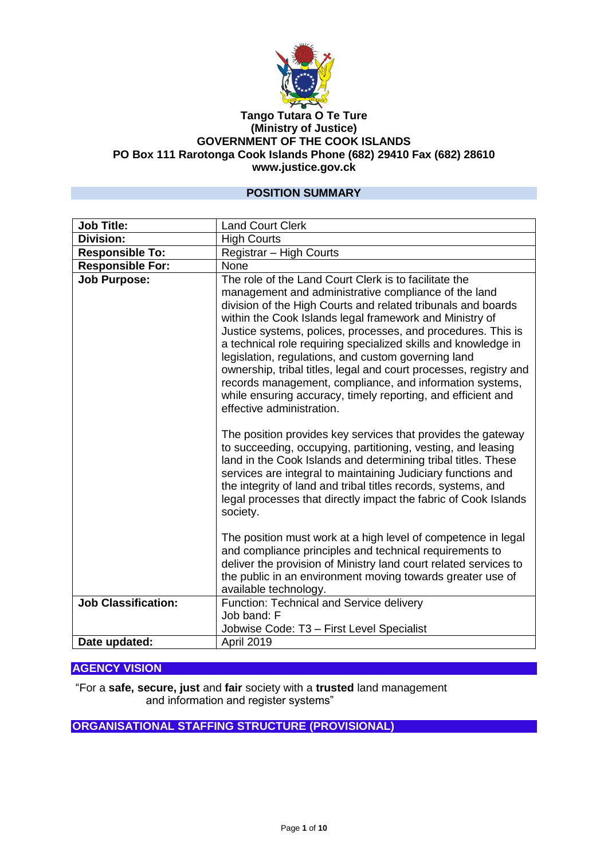

#### **Tango Tutara O Te Ture (Ministry of Justice) GOVERNMENT OF THE COOK ISLANDS PO Box 111 Rarotonga Cook Islands Phone (682) 29410 Fax (682) 28610 www.justice.gov.ck**

### **POSITION SUMMARY**

| <b>Job Title:</b>          | <b>Land Court Clerk</b>                                                                                                                                                                                                                                                                                                                                                                                                                                                                                                                                                                                                                                         |
|----------------------------|-----------------------------------------------------------------------------------------------------------------------------------------------------------------------------------------------------------------------------------------------------------------------------------------------------------------------------------------------------------------------------------------------------------------------------------------------------------------------------------------------------------------------------------------------------------------------------------------------------------------------------------------------------------------|
| Division:                  | <b>High Courts</b>                                                                                                                                                                                                                                                                                                                                                                                                                                                                                                                                                                                                                                              |
| <b>Responsible To:</b>     | Registrar - High Courts                                                                                                                                                                                                                                                                                                                                                                                                                                                                                                                                                                                                                                         |
| <b>Responsible For:</b>    | None                                                                                                                                                                                                                                                                                                                                                                                                                                                                                                                                                                                                                                                            |
| <b>Job Purpose:</b>        | The role of the Land Court Clerk is to facilitate the<br>management and administrative compliance of the land<br>division of the High Courts and related tribunals and boards<br>within the Cook Islands legal framework and Ministry of<br>Justice systems, polices, processes, and procedures. This is<br>a technical role requiring specialized skills and knowledge in<br>legislation, regulations, and custom governing land<br>ownership, tribal titles, legal and court processes, registry and<br>records management, compliance, and information systems,<br>while ensuring accuracy, timely reporting, and efficient and<br>effective administration. |
|                            | The position provides key services that provides the gateway<br>to succeeding, occupying, partitioning, vesting, and leasing<br>land in the Cook Islands and determining tribal titles. These<br>services are integral to maintaining Judiciary functions and<br>the integrity of land and tribal titles records, systems, and<br>legal processes that directly impact the fabric of Cook Islands<br>society.                                                                                                                                                                                                                                                   |
|                            | The position must work at a high level of competence in legal<br>and compliance principles and technical requirements to<br>deliver the provision of Ministry land court related services to<br>the public in an environment moving towards greater use of<br>available technology.                                                                                                                                                                                                                                                                                                                                                                             |
| <b>Job Classification:</b> | Function: Technical and Service delivery<br>Job band: F<br>Jobwise Code: T3 - First Level Specialist                                                                                                                                                                                                                                                                                                                                                                                                                                                                                                                                                            |
| Date updated:              | April 2019                                                                                                                                                                                                                                                                                                                                                                                                                                                                                                                                                                                                                                                      |

### **AGENCY VISION**

"For a **safe, secure, just** and **fair** society with a **trusted** land management and information and register systems"

**ORGANISATIONAL STAFFING STRUCTURE (PROVISIONAL)**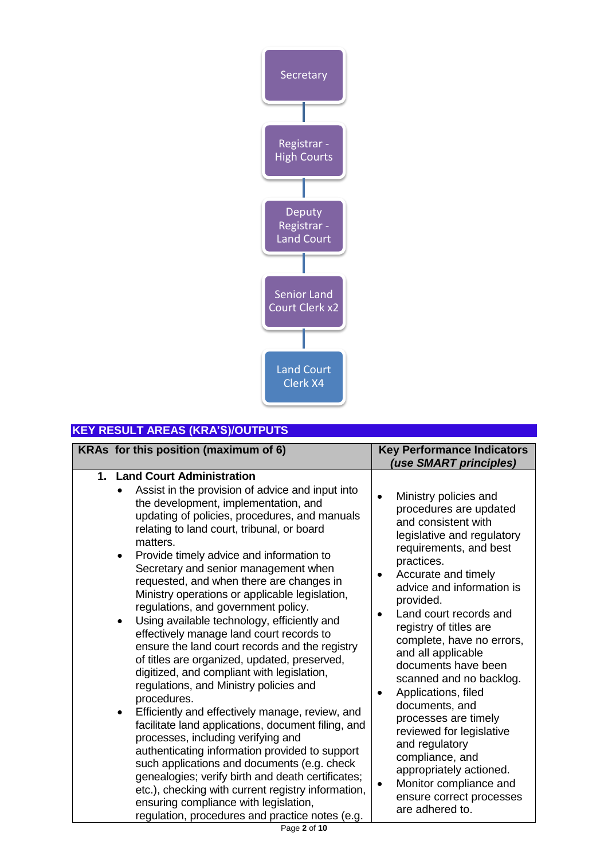

## **KEY RESULT AREAS (KRA'S)/OUTPUTS**

| KRAs for this position (maximum of 6)                                                                                                                                                                                                                                                                                                                                                                                                                                                                                                                                                                                                                                                                                                                                                                                                                                                                                                                                                                                                                                                                                                                                                                                                                          | <b>Key Performance Indicators</b><br>(use SMART principles)                                                                                                                                                                                                                                                                                                                                                                                                                                                                                                                                                                                                      |
|----------------------------------------------------------------------------------------------------------------------------------------------------------------------------------------------------------------------------------------------------------------------------------------------------------------------------------------------------------------------------------------------------------------------------------------------------------------------------------------------------------------------------------------------------------------------------------------------------------------------------------------------------------------------------------------------------------------------------------------------------------------------------------------------------------------------------------------------------------------------------------------------------------------------------------------------------------------------------------------------------------------------------------------------------------------------------------------------------------------------------------------------------------------------------------------------------------------------------------------------------------------|------------------------------------------------------------------------------------------------------------------------------------------------------------------------------------------------------------------------------------------------------------------------------------------------------------------------------------------------------------------------------------------------------------------------------------------------------------------------------------------------------------------------------------------------------------------------------------------------------------------------------------------------------------------|
| 1. Land Court Administration<br>Assist in the provision of advice and input into<br>the development, implementation, and<br>updating of policies, procedures, and manuals<br>relating to land court, tribunal, or board<br>matters.<br>Provide timely advice and information to<br>$\bullet$<br>Secretary and senior management when<br>requested, and when there are changes in<br>Ministry operations or applicable legislation,<br>regulations, and government policy.<br>Using available technology, efficiently and<br>$\bullet$<br>effectively manage land court records to<br>ensure the land court records and the registry<br>of titles are organized, updated, preserved,<br>digitized, and compliant with legislation,<br>regulations, and Ministry policies and<br>procedures.<br>Efficiently and effectively manage, review, and<br>$\bullet$<br>facilitate land applications, document filing, and<br>processes, including verifying and<br>authenticating information provided to support<br>such applications and documents (e.g. check<br>genealogies; verify birth and death certificates;<br>etc.), checking with current registry information,<br>ensuring compliance with legislation,<br>regulation, procedures and practice notes (e.g. | Ministry policies and<br>$\bullet$<br>procedures are updated<br>and consistent with<br>legislative and regulatory<br>requirements, and best<br>practices.<br>Accurate and timely<br>$\bullet$<br>advice and information is<br>provided.<br>Land court records and<br>registry of titles are<br>complete, have no errors,<br>and all applicable<br>documents have been<br>scanned and no backlog.<br>Applications, filed<br>$\bullet$<br>documents, and<br>processes are timely<br>reviewed for legislative<br>and regulatory<br>compliance, and<br>appropriately actioned.<br>Monitor compliance and<br>$\bullet$<br>ensure correct processes<br>are adhered to. |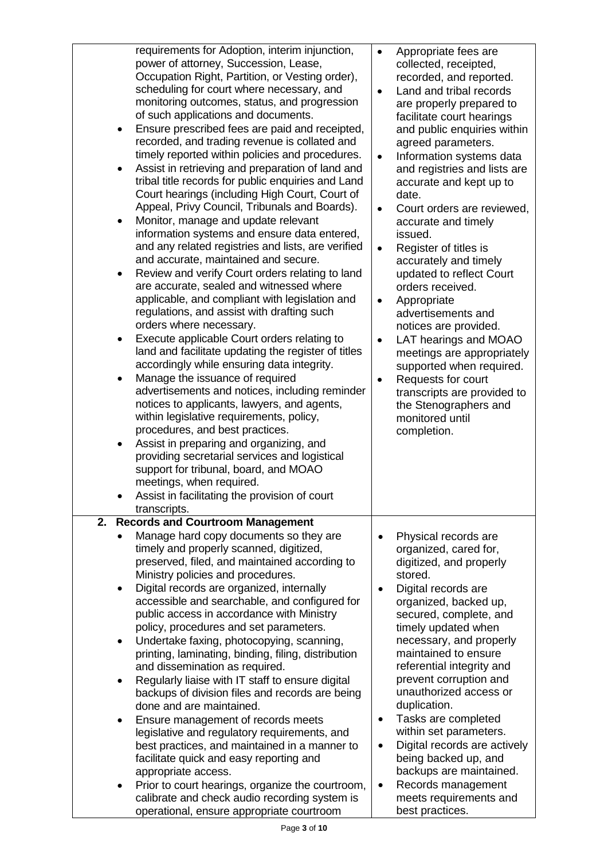| $\bullet$<br>$\bullet$<br>$\bullet$<br>$\bullet$<br>$\bullet$<br>$\bullet$<br>$\bullet$ | requirements for Adoption, interim injunction,<br>power of attorney, Succession, Lease,<br>Occupation Right, Partition, or Vesting order),<br>scheduling for court where necessary, and<br>monitoring outcomes, status, and progression<br>of such applications and documents.<br>Ensure prescribed fees are paid and receipted,<br>recorded, and trading revenue is collated and<br>timely reported within policies and procedures.<br>Assist in retrieving and preparation of land and<br>tribal title records for public enquiries and Land<br>Court hearings (including High Court, Court of<br>Appeal, Privy Council, Tribunals and Boards).<br>Monitor, manage and update relevant<br>information systems and ensure data entered,<br>and any related registries and lists, are verified<br>and accurate, maintained and secure.<br>Review and verify Court orders relating to land<br>are accurate, sealed and witnessed where<br>applicable, and compliant with legislation and<br>regulations, and assist with drafting such<br>orders where necessary.<br>Execute applicable Court orders relating to<br>land and facilitate updating the register of titles<br>accordingly while ensuring data integrity.<br>Manage the issuance of required<br>advertisements and notices, including reminder<br>notices to applicants, lawyers, and agents,<br>within legislative requirements, policy,<br>procedures, and best practices.<br>Assist in preparing and organizing, and<br>providing secretarial services and logistical<br>support for tribunal, board, and MOAO<br>meetings, when required. | $\bullet$<br>$\bullet$<br>$\bullet$<br>$\bullet$<br>$\bullet$<br>$\bullet$<br>$\bullet$<br>$\bullet$ | Appropriate fees are<br>collected, receipted,<br>recorded, and reported.<br>Land and tribal records<br>are properly prepared to<br>facilitate court hearings<br>and public enquiries within<br>agreed parameters.<br>Information systems data<br>and registries and lists are<br>accurate and kept up to<br>date.<br>Court orders are reviewed,<br>accurate and timely<br>issued.<br>Register of titles is<br>accurately and timely<br>updated to reflect Court<br>orders received.<br>Appropriate<br>advertisements and<br>notices are provided.<br>LAT hearings and MOAO<br>meetings are appropriately<br>supported when required.<br>Requests for court<br>transcripts are provided to<br>the Stenographers and<br>monitored until<br>completion. |
|-----------------------------------------------------------------------------------------|----------------------------------------------------------------------------------------------------------------------------------------------------------------------------------------------------------------------------------------------------------------------------------------------------------------------------------------------------------------------------------------------------------------------------------------------------------------------------------------------------------------------------------------------------------------------------------------------------------------------------------------------------------------------------------------------------------------------------------------------------------------------------------------------------------------------------------------------------------------------------------------------------------------------------------------------------------------------------------------------------------------------------------------------------------------------------------------------------------------------------------------------------------------------------------------------------------------------------------------------------------------------------------------------------------------------------------------------------------------------------------------------------------------------------------------------------------------------------------------------------------------------------------------------------------------------------------------------------------|------------------------------------------------------------------------------------------------------|------------------------------------------------------------------------------------------------------------------------------------------------------------------------------------------------------------------------------------------------------------------------------------------------------------------------------------------------------------------------------------------------------------------------------------------------------------------------------------------------------------------------------------------------------------------------------------------------------------------------------------------------------------------------------------------------------------------------------------------------------|
|                                                                                         | Assist in facilitating the provision of court<br>transcripts.                                                                                                                                                                                                                                                                                                                                                                                                                                                                                                                                                                                                                                                                                                                                                                                                                                                                                                                                                                                                                                                                                                                                                                                                                                                                                                                                                                                                                                                                                                                                            |                                                                                                      |                                                                                                                                                                                                                                                                                                                                                                                                                                                                                                                                                                                                                                                                                                                                                      |
| 2.                                                                                      | <b>Records and Courtroom Management</b>                                                                                                                                                                                                                                                                                                                                                                                                                                                                                                                                                                                                                                                                                                                                                                                                                                                                                                                                                                                                                                                                                                                                                                                                                                                                                                                                                                                                                                                                                                                                                                  |                                                                                                      |                                                                                                                                                                                                                                                                                                                                                                                                                                                                                                                                                                                                                                                                                                                                                      |
|                                                                                         | Manage hard copy documents so they are<br>timely and properly scanned, digitized,<br>preserved, filed, and maintained according to<br>Ministry policies and procedures.                                                                                                                                                                                                                                                                                                                                                                                                                                                                                                                                                                                                                                                                                                                                                                                                                                                                                                                                                                                                                                                                                                                                                                                                                                                                                                                                                                                                                                  |                                                                                                      | Physical records are<br>organized, cared for,<br>digitized, and properly<br>stored.                                                                                                                                                                                                                                                                                                                                                                                                                                                                                                                                                                                                                                                                  |
| ٠                                                                                       | Digital records are organized, internally<br>accessible and searchable, and configured for<br>public access in accordance with Ministry<br>policy, procedures and set parameters.                                                                                                                                                                                                                                                                                                                                                                                                                                                                                                                                                                                                                                                                                                                                                                                                                                                                                                                                                                                                                                                                                                                                                                                                                                                                                                                                                                                                                        |                                                                                                      | Digital records are<br>organized, backed up,<br>secured, complete, and<br>timely updated when                                                                                                                                                                                                                                                                                                                                                                                                                                                                                                                                                                                                                                                        |
| $\bullet$                                                                               | Undertake faxing, photocopying, scanning,<br>printing, laminating, binding, filing, distribution<br>and dissemination as required.                                                                                                                                                                                                                                                                                                                                                                                                                                                                                                                                                                                                                                                                                                                                                                                                                                                                                                                                                                                                                                                                                                                                                                                                                                                                                                                                                                                                                                                                       |                                                                                                      | necessary, and properly<br>maintained to ensure<br>referential integrity and                                                                                                                                                                                                                                                                                                                                                                                                                                                                                                                                                                                                                                                                         |
|                                                                                         | Regularly liaise with IT staff to ensure digital<br>backups of division files and records are being<br>done and are maintained.                                                                                                                                                                                                                                                                                                                                                                                                                                                                                                                                                                                                                                                                                                                                                                                                                                                                                                                                                                                                                                                                                                                                                                                                                                                                                                                                                                                                                                                                          |                                                                                                      | prevent corruption and<br>unauthorized access or<br>duplication.                                                                                                                                                                                                                                                                                                                                                                                                                                                                                                                                                                                                                                                                                     |
| $\bullet$                                                                               | Ensure management of records meets<br>legislative and regulatory requirements, and<br>best practices, and maintained in a manner to<br>facilitate quick and easy reporting and<br>appropriate access.                                                                                                                                                                                                                                                                                                                                                                                                                                                                                                                                                                                                                                                                                                                                                                                                                                                                                                                                                                                                                                                                                                                                                                                                                                                                                                                                                                                                    | $\bullet$                                                                                            | Tasks are completed<br>within set parameters.<br>Digital records are actively<br>being backed up, and<br>backups are maintained.                                                                                                                                                                                                                                                                                                                                                                                                                                                                                                                                                                                                                     |
| $\bullet$                                                                               | Prior to court hearings, organize the courtroom,<br>calibrate and check audio recording system is<br>operational, ensure appropriate courtroom                                                                                                                                                                                                                                                                                                                                                                                                                                                                                                                                                                                                                                                                                                                                                                                                                                                                                                                                                                                                                                                                                                                                                                                                                                                                                                                                                                                                                                                           | ٠                                                                                                    | Records management<br>meets requirements and<br>best practices.                                                                                                                                                                                                                                                                                                                                                                                                                                                                                                                                                                                                                                                                                      |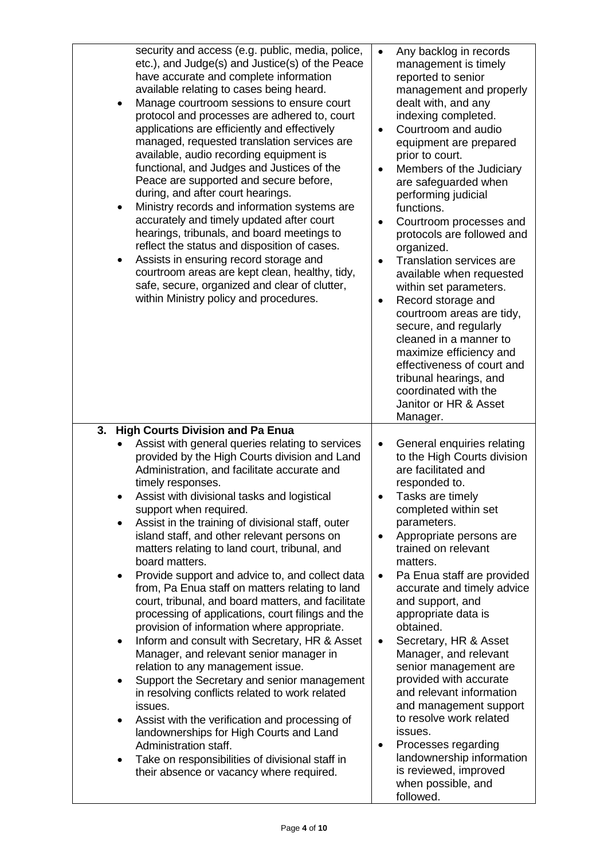| security and access (e.g. public, media, police,<br>etc.), and Judge(s) and Justice(s) of the Peace<br>have accurate and complete information<br>available relating to cases being heard.<br>Manage courtroom sessions to ensure court<br>protocol and processes are adhered to, court<br>applications are efficiently and effectively<br>managed, requested translation services are<br>available, audio recording equipment is<br>functional, and Judges and Justices of the<br>Peace are supported and secure before,<br>during, and after court hearings.<br>Ministry records and information systems are<br>accurately and timely updated after court<br>hearings, tribunals, and board meetings to<br>reflect the status and disposition of cases.<br>Assists in ensuring record storage and<br>courtroom areas are kept clean, healthy, tidy,<br>safe, secure, organized and clear of clutter,<br>within Ministry policy and procedures. | Any backlog in records<br>$\bullet$<br>management is timely<br>reported to senior<br>management and properly<br>dealt with, and any<br>indexing completed.<br>Courtroom and audio<br>equipment are prepared<br>prior to court.<br>Members of the Judiciary<br>$\bullet$<br>are safeguarded when<br>performing judicial<br>functions.<br>Courtroom processes and<br>$\bullet$<br>protocols are followed and<br>organized.<br><b>Translation services are</b><br>$\bullet$<br>available when requested<br>within set parameters.<br>Record storage and<br>courtroom areas are tidy,<br>secure, and regularly<br>cleaned in a manner to<br>maximize efficiency and<br>effectiveness of court and<br>tribunal hearings, and<br>coordinated with the<br>Janitor or HR & Asset<br>Manager. |
|-------------------------------------------------------------------------------------------------------------------------------------------------------------------------------------------------------------------------------------------------------------------------------------------------------------------------------------------------------------------------------------------------------------------------------------------------------------------------------------------------------------------------------------------------------------------------------------------------------------------------------------------------------------------------------------------------------------------------------------------------------------------------------------------------------------------------------------------------------------------------------------------------------------------------------------------------|--------------------------------------------------------------------------------------------------------------------------------------------------------------------------------------------------------------------------------------------------------------------------------------------------------------------------------------------------------------------------------------------------------------------------------------------------------------------------------------------------------------------------------------------------------------------------------------------------------------------------------------------------------------------------------------------------------------------------------------------------------------------------------------|
| <b>High Courts Division and Pa Enua</b><br>3.<br>Assist with general queries relating to services<br>provided by the High Courts division and Land<br>Administration, and facilitate accurate and<br>timely responses.<br>Assist with divisional tasks and logistical                                                                                                                                                                                                                                                                                                                                                                                                                                                                                                                                                                                                                                                                           | General enquiries relating<br>$\bullet$<br>to the High Courts division<br>are facilitated and<br>responded to.<br>Tasks are timely                                                                                                                                                                                                                                                                                                                                                                                                                                                                                                                                                                                                                                                   |
| support when required.<br>Assist in the training of divisional staff, outer<br>island staff, and other relevant persons on<br>matters relating to land court, tribunal, and<br>board matters.                                                                                                                                                                                                                                                                                                                                                                                                                                                                                                                                                                                                                                                                                                                                                   | completed within set<br>parameters.<br>Appropriate persons are<br>$\bullet$<br>trained on relevant<br>matters.                                                                                                                                                                                                                                                                                                                                                                                                                                                                                                                                                                                                                                                                       |
| Provide support and advice to, and collect data<br>from, Pa Enua staff on matters relating to land<br>court, tribunal, and board matters, and facilitate<br>processing of applications, court filings and the<br>provision of information where appropriate.                                                                                                                                                                                                                                                                                                                                                                                                                                                                                                                                                                                                                                                                                    | Pa Enua staff are provided<br>$\bullet$<br>accurate and timely advice<br>and support, and<br>appropriate data is<br>obtained.                                                                                                                                                                                                                                                                                                                                                                                                                                                                                                                                                                                                                                                        |
| Inform and consult with Secretary, HR & Asset<br>٠<br>Manager, and relevant senior manager in<br>relation to any management issue.<br>Support the Secretary and senior management<br>in resolving conflicts related to work related                                                                                                                                                                                                                                                                                                                                                                                                                                                                                                                                                                                                                                                                                                             | Secretary, HR & Asset<br>$\bullet$<br>Manager, and relevant<br>senior management are<br>provided with accurate<br>and relevant information                                                                                                                                                                                                                                                                                                                                                                                                                                                                                                                                                                                                                                           |
| issues.<br>Assist with the verification and processing of<br>landownerships for High Courts and Land<br>Administration staff.                                                                                                                                                                                                                                                                                                                                                                                                                                                                                                                                                                                                                                                                                                                                                                                                                   | and management support<br>to resolve work related<br>issues.<br>Processes regarding<br>$\bullet$<br>landownership information                                                                                                                                                                                                                                                                                                                                                                                                                                                                                                                                                                                                                                                        |
| Take on responsibilities of divisional staff in<br>their absence or vacancy where required.                                                                                                                                                                                                                                                                                                                                                                                                                                                                                                                                                                                                                                                                                                                                                                                                                                                     | is reviewed, improved<br>when possible, and<br>followed.                                                                                                                                                                                                                                                                                                                                                                                                                                                                                                                                                                                                                                                                                                                             |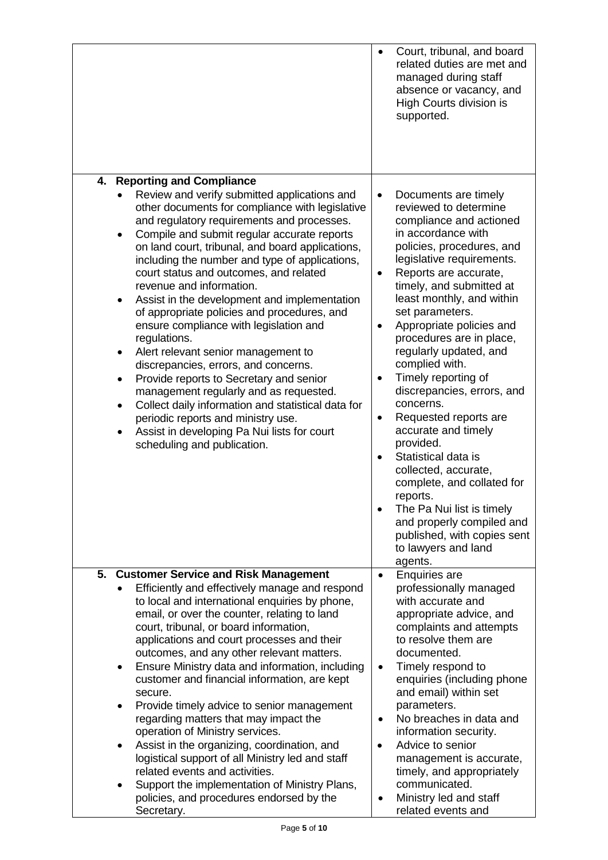|                                                                                                                                                                                                                                                                                                                                                                                                                                                                                                                                                                                                                                                                                                                                                                                                                                                                                                                                                                 | supported.                                                                                                                  | Court, tribunal, and board<br>related duties are met and<br>managed during staff<br>absence or vacancy, and<br>High Courts division is                                                                                                                                                                                                                                                                                                                                                                                                                                                                                                                              |
|-----------------------------------------------------------------------------------------------------------------------------------------------------------------------------------------------------------------------------------------------------------------------------------------------------------------------------------------------------------------------------------------------------------------------------------------------------------------------------------------------------------------------------------------------------------------------------------------------------------------------------------------------------------------------------------------------------------------------------------------------------------------------------------------------------------------------------------------------------------------------------------------------------------------------------------------------------------------|-----------------------------------------------------------------------------------------------------------------------------|---------------------------------------------------------------------------------------------------------------------------------------------------------------------------------------------------------------------------------------------------------------------------------------------------------------------------------------------------------------------------------------------------------------------------------------------------------------------------------------------------------------------------------------------------------------------------------------------------------------------------------------------------------------------|
| <b>Reporting and Compliance</b><br>4.<br>Review and verify submitted applications and<br>other documents for compliance with legislative<br>and regulatory requirements and processes.<br>Compile and submit regular accurate reports<br>on land court, tribunal, and board applications,<br>including the number and type of applications,<br>court status and outcomes, and related<br>revenue and information.<br>Assist in the development and implementation<br>$\bullet$<br>of appropriate policies and procedures, and<br>ensure compliance with legislation and<br>regulations.<br>Alert relevant senior management to<br>discrepancies, errors, and concerns.<br>Provide reports to Secretary and senior<br>$\bullet$<br>management regularly and as requested.<br>Collect daily information and statistical data for<br>$\bullet$<br>periodic reports and ministry use.<br>Assist in developing Pa Nui lists for court<br>scheduling and publication. | $\bullet$<br>$\bullet$<br>$\bullet$<br>$\bullet$<br>concerns.<br>$\bullet$<br>provided.<br>$\bullet$<br>reports.<br>agents. | Documents are timely<br>reviewed to determine<br>compliance and actioned<br>in accordance with<br>policies, procedures, and<br>legislative requirements.<br>Reports are accurate,<br>timely, and submitted at<br>least monthly, and within<br>set parameters.<br>Appropriate policies and<br>procedures are in place,<br>regularly updated, and<br>complied with.<br>Timely reporting of<br>discrepancies, errors, and<br>Requested reports are<br>accurate and timely<br>Statistical data is<br>collected, accurate,<br>complete, and collated for<br>The Pa Nui list is timely<br>and properly compiled and<br>published, with copies sent<br>to lawyers and land |
| <b>Customer Service and Risk Management</b><br>5.<br>Efficiently and effectively manage and respond<br>to local and international enquiries by phone,<br>email, or over the counter, relating to land<br>court, tribunal, or board information,<br>applications and court processes and their<br>outcomes, and any other relevant matters.<br>Ensure Ministry data and information, including<br>customer and financial information, are kept<br>secure.<br>Provide timely advice to senior management<br>regarding matters that may impact the<br>operation of Ministry services.<br>Assist in the organizing, coordination, and<br>٠<br>logistical support of all Ministry led and staff<br>related events and activities.<br>Support the implementation of Ministry Plans,<br>$\bullet$<br>policies, and procedures endorsed by the<br>Secretary.                                                                                                            | $\bullet$<br>$\bullet$<br>$\bullet$<br>$\bullet$                                                                            | <b>Enquiries are</b><br>professionally managed<br>with accurate and<br>appropriate advice, and<br>complaints and attempts<br>to resolve them are<br>documented.<br>Timely respond to<br>enquiries (including phone<br>and email) within set<br>parameters.<br>No breaches in data and<br>information security.<br>Advice to senior<br>management is accurate,<br>timely, and appropriately<br>communicated.<br>Ministry led and staff<br>related events and                                                                                                                                                                                                         |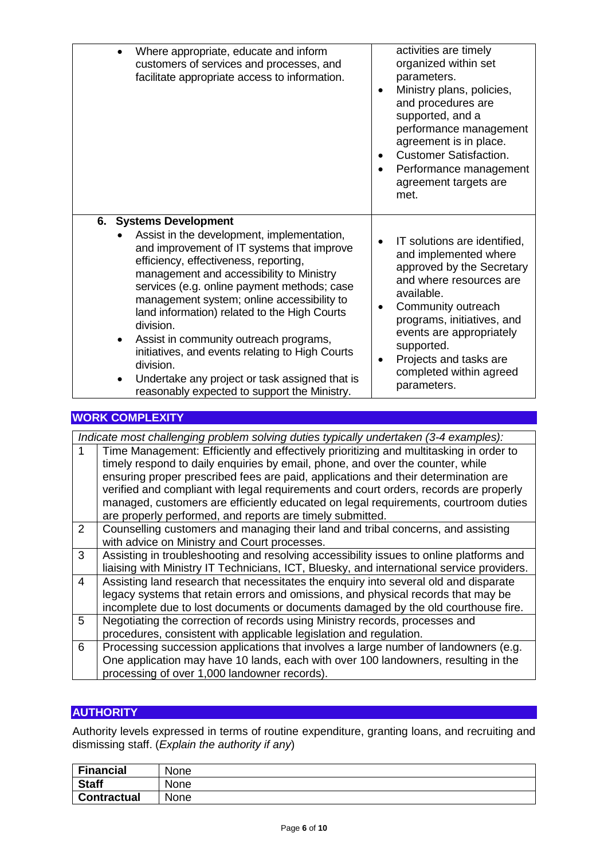| Where appropriate, educate and inform<br>customers of services and processes, and<br>facilitate appropriate access to information.                                                                                                                                                                                                                                                                                                                                                                                                                                            | activities are timely<br>organized within set<br>parameters.<br>Ministry plans, policies,<br>and procedures are<br>supported, and a<br>performance management<br>agreement is in place.<br><b>Customer Satisfaction.</b><br>Performance management<br>٠<br>agreement targets are<br>met.      |
|-------------------------------------------------------------------------------------------------------------------------------------------------------------------------------------------------------------------------------------------------------------------------------------------------------------------------------------------------------------------------------------------------------------------------------------------------------------------------------------------------------------------------------------------------------------------------------|-----------------------------------------------------------------------------------------------------------------------------------------------------------------------------------------------------------------------------------------------------------------------------------------------|
| 6. Systems Development<br>Assist in the development, implementation,<br>and improvement of IT systems that improve<br>efficiency, effectiveness, reporting,<br>management and accessibility to Ministry<br>services (e.g. online payment methods; case<br>management system; online accessibility to<br>land information) related to the High Courts<br>division.<br>Assist in community outreach programs,<br>initiatives, and events relating to High Courts<br>division.<br>Undertake any project or task assigned that is<br>reasonably expected to support the Ministry. | IT solutions are identified,<br>and implemented where<br>approved by the Secretary<br>and where resources are<br>available.<br>Community outreach<br>programs, initiatives, and<br>events are appropriately<br>supported.<br>Projects and tasks are<br>completed within agreed<br>parameters. |

### **WORK COMPLEXITY**

*Indicate most challenging problem solving duties typically undertaken (3-4 examples):* Time Management: Efficiently and effectively prioritizing and multitasking in order to timely respond to daily enquiries by email, phone, and over the counter, while ensuring proper prescribed fees are paid, applications and their determination are verified and compliant with legal requirements and court orders, records are properly managed, customers are efficiently educated on legal requirements, courtroom duties are properly performed, and reports are timely submitted. 2 Counselling customers and managing their land and tribal concerns, and assisting with advice on Ministry and Court processes. 3 Assisting in troubleshooting and resolving accessibility issues to online platforms and liaising with Ministry IT Technicians, ICT, Bluesky, and international service providers. 4 Assisting land research that necessitates the enquiry into several old and disparate legacy systems that retain errors and omissions, and physical records that may be incomplete due to lost documents or documents damaged by the old courthouse fire. 5 Negotiating the correction of records using Ministry records, processes and

procedures, consistent with applicable legislation and regulation. 6 Processing succession applications that involves a large number of landowners (e.g. One application may have 10 lands, each with over 100 landowners, resulting in the processing of over 1,000 landowner records).

### **AUTHORITY**

Authority levels expressed in terms of routine expenditure, granting loans, and recruiting and dismissing staff. (*Explain the authority if any*)

| <b>Financial</b>   | None |
|--------------------|------|
| <b>Staff</b>       | None |
| <b>Contractual</b> | None |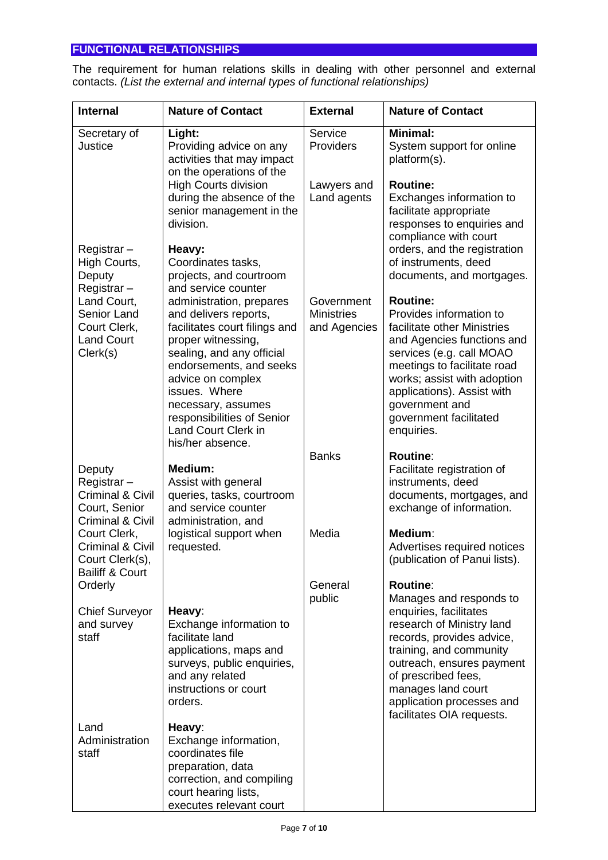# **FUNCTIONAL RELATIONSHIPS**

The requirement for human relations skills in dealing with other personnel and external contacts. *(List the external and internal types of functional relationships)*

| <b>Internal</b>                                                                                     | <b>Nature of Contact</b>                                                                                                                                                                                                                                                                                                     | <b>External</b>                                 | <b>Nature of Contact</b>                                                                                                                                                                                                                                                                      |
|-----------------------------------------------------------------------------------------------------|------------------------------------------------------------------------------------------------------------------------------------------------------------------------------------------------------------------------------------------------------------------------------------------------------------------------------|-------------------------------------------------|-----------------------------------------------------------------------------------------------------------------------------------------------------------------------------------------------------------------------------------------------------------------------------------------------|
| Secretary of<br>Justice                                                                             | Light:<br>Providing advice on any<br>activities that may impact<br>on the operations of the                                                                                                                                                                                                                                  | Service<br>Providers                            | <b>Minimal:</b><br>System support for online<br>platform(s).                                                                                                                                                                                                                                  |
| Registrar-<br>High Courts,<br>Deputy                                                                | <b>High Courts division</b><br>during the absence of the<br>senior management in the<br>division.<br>Heavy:<br>Coordinates tasks,<br>projects, and courtroom                                                                                                                                                                 | Lawyers and<br>Land agents                      | <b>Routine:</b><br>Exchanges information to<br>facilitate appropriate<br>responses to enquiries and<br>compliance with court<br>orders, and the registration<br>of instruments, deed<br>documents, and mortgages.                                                                             |
| Registrar-<br>Land Court,<br>Senior Land<br>Court Clerk,<br><b>Land Court</b><br>Clerk(s)           | and service counter<br>administration, prepares<br>and delivers reports,<br>facilitates court filings and<br>proper witnessing,<br>sealing, and any official<br>endorsements, and seeks<br>advice on complex<br>issues. Where<br>necessary, assumes<br>responsibilities of Senior<br>Land Court Clerk in<br>his/her absence. | Government<br><b>Ministries</b><br>and Agencies | <b>Routine:</b><br>Provides information to<br>facilitate other Ministries<br>and Agencies functions and<br>services (e.g. call MOAO<br>meetings to facilitate road<br>works; assist with adoption<br>applications). Assist with<br>government and<br>government facilitated<br>enquiries.     |
| Deputy<br>Registrar-<br><b>Criminal &amp; Civil</b><br>Court, Senior<br><b>Criminal &amp; Civil</b> | <b>Medium:</b><br>Assist with general<br>queries, tasks, courtroom<br>and service counter<br>administration, and                                                                                                                                                                                                             | <b>Banks</b>                                    | <b>Routine:</b><br>Facilitate registration of<br>instruments, deed<br>documents, mortgages, and<br>exchange of information.                                                                                                                                                                   |
| Court Clerk,<br><b>Criminal &amp; Civil</b><br>Court Clerk(s),<br><b>Bailiff &amp; Court</b>        | logistical support when<br>requested.                                                                                                                                                                                                                                                                                        | Media                                           | Medium:<br>Advertises required notices<br>(publication of Panui lists).                                                                                                                                                                                                                       |
| Orderly<br><b>Chief Surveyor</b><br>and survey<br>staff                                             | Heavy:<br>Exchange information to<br>facilitate land<br>applications, maps and<br>surveys, public enquiries,<br>and any related<br>instructions or court<br>orders.                                                                                                                                                          | General<br>public                               | <b>Routine:</b><br>Manages and responds to<br>enquiries, facilitates<br>research of Ministry land<br>records, provides advice,<br>training, and community<br>outreach, ensures payment<br>of prescribed fees,<br>manages land court<br>application processes and<br>facilitates OIA requests. |
| Land<br>Administration<br>staff                                                                     | Heavy:<br>Exchange information,<br>coordinates file<br>preparation, data<br>correction, and compiling<br>court hearing lists,<br>executes relevant court                                                                                                                                                                     |                                                 |                                                                                                                                                                                                                                                                                               |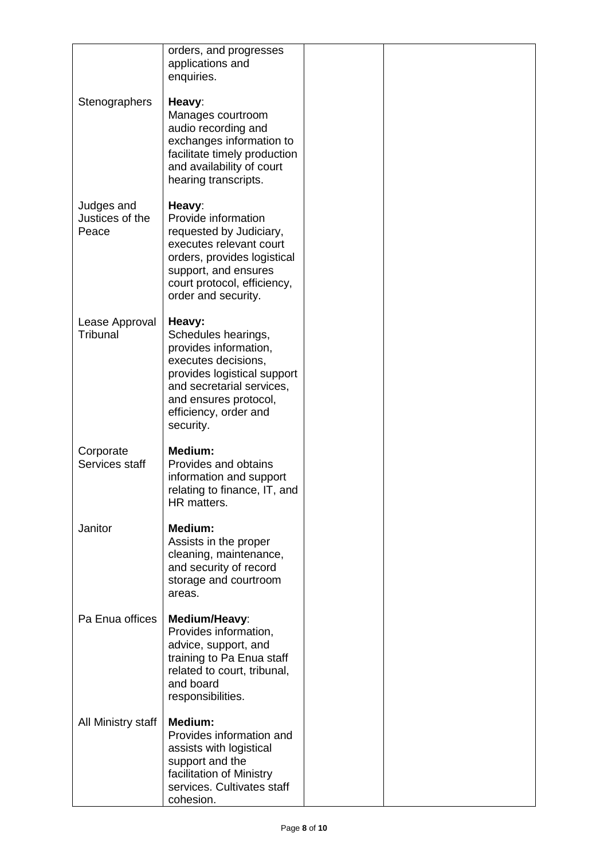|                                        | orders, and progresses<br>applications and<br>enquiries.                                                                                                                                                 |  |
|----------------------------------------|----------------------------------------------------------------------------------------------------------------------------------------------------------------------------------------------------------|--|
| Stenographers                          | Heavy:<br>Manages courtroom<br>audio recording and<br>exchanges information to<br>facilitate timely production<br>and availability of court<br>hearing transcripts.                                      |  |
| Judges and<br>Justices of the<br>Peace | Heavy:<br>Provide information<br>requested by Judiciary,<br>executes relevant court<br>orders, provides logistical<br>support, and ensures<br>court protocol, efficiency,<br>order and security.         |  |
| Lease Approval<br>Tribunal             | Heavy:<br>Schedules hearings,<br>provides information,<br>executes decisions,<br>provides logistical support<br>and secretarial services,<br>and ensures protocol,<br>efficiency, order and<br>security. |  |
| Corporate<br>Services staff            | <b>Medium:</b><br>Provides and obtains<br>information and support<br>relating to finance, IT, and<br>HR matters.                                                                                         |  |
| Janitor                                | Medium:<br>Assists in the proper<br>cleaning, maintenance,<br>and security of record<br>storage and courtroom<br>areas.                                                                                  |  |
| Pa Enua offices                        | Medium/Heavy:<br>Provides information,<br>advice, support, and<br>training to Pa Enua staff<br>related to court, tribunal,<br>and board<br>responsibilities.                                             |  |
| All Ministry staff                     | Medium:<br>Provides information and<br>assists with logistical<br>support and the<br>facilitation of Ministry<br>services. Cultivates staff<br>cohesion.                                                 |  |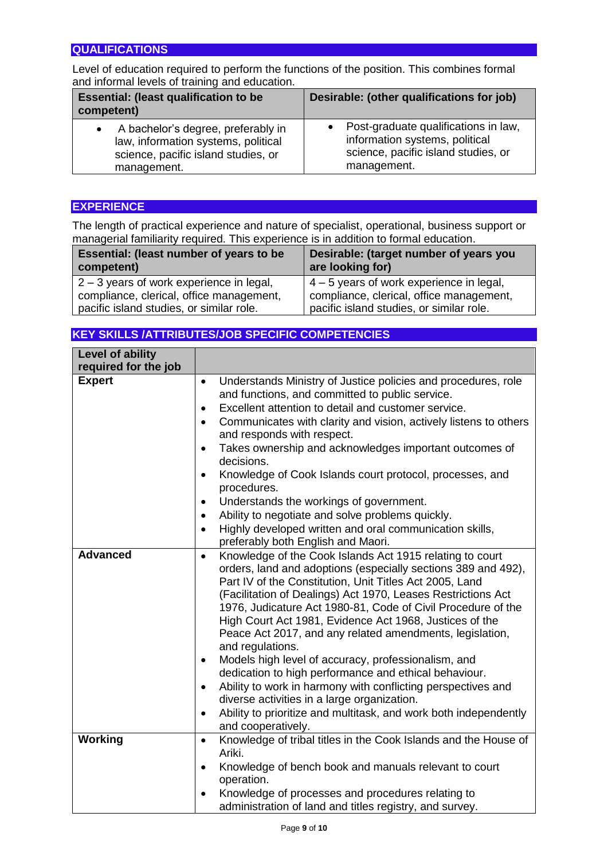### **QUALIFICATIONS**

Level of education required to perform the functions of the position. This combines formal and informal levels of training and education.

| <b>Essential: (least qualification to be</b><br>competent) | Desirable: (other qualifications for job) |
|------------------------------------------------------------|-------------------------------------------|
| A bachelor's degree, preferably in                         | • Post-graduate qualifications in law,    |
| law, information systems, political                        | information systems, political            |
| science, pacific island studies, or                        | science, pacific island studies, or       |
| management.                                                | management.                               |

### **EXPERIENCE**

The length of practical experience and nature of specialist, operational, business support or managerial familiarity required. This experience is in addition to formal education.

| Essential: (least number of years to be<br>competent) | Desirable: (target number of years you<br>are looking for) |
|-------------------------------------------------------|------------------------------------------------------------|
| $2 - 3$ years of work experience in legal,            | $4 - 5$ years of work experience in legal,                 |
| compliance, clerical, office management,              | compliance, clerical, office management,                   |
| pacific island studies, or similar role.              | pacific island studies, or similar role.                   |

### **KEY SKILLS /ATTRIBUTES/JOB SPECIFIC COMPETENCIES**

| Level of ability     |                                                                                                                                                                                                                                                                                                                                                                                                                                                                                                                                                                                                                                                                                                                                                                                                                                      |
|----------------------|--------------------------------------------------------------------------------------------------------------------------------------------------------------------------------------------------------------------------------------------------------------------------------------------------------------------------------------------------------------------------------------------------------------------------------------------------------------------------------------------------------------------------------------------------------------------------------------------------------------------------------------------------------------------------------------------------------------------------------------------------------------------------------------------------------------------------------------|
| required for the job |                                                                                                                                                                                                                                                                                                                                                                                                                                                                                                                                                                                                                                                                                                                                                                                                                                      |
| <b>Expert</b>        | Understands Ministry of Justice policies and procedures, role<br>$\bullet$<br>and functions, and committed to public service.<br>Excellent attention to detail and customer service.<br>$\bullet$<br>Communicates with clarity and vision, actively listens to others<br>$\bullet$<br>and responds with respect.<br>Takes ownership and acknowledges important outcomes of<br>$\bullet$<br>decisions.<br>Knowledge of Cook Islands court protocol, processes, and<br>$\bullet$<br>procedures.<br>Understands the workings of government.<br>$\bullet$                                                                                                                                                                                                                                                                                |
|                      | Ability to negotiate and solve problems quickly.<br>$\bullet$<br>Highly developed written and oral communication skills,<br>$\bullet$<br>preferably both English and Maori.                                                                                                                                                                                                                                                                                                                                                                                                                                                                                                                                                                                                                                                          |
| <b>Advanced</b>      | Knowledge of the Cook Islands Act 1915 relating to court<br>$\bullet$<br>orders, land and adoptions (especially sections 389 and 492),<br>Part IV of the Constitution, Unit Titles Act 2005, Land<br>(Facilitation of Dealings) Act 1970, Leases Restrictions Act<br>1976, Judicature Act 1980-81, Code of Civil Procedure of the<br>High Court Act 1981, Evidence Act 1968, Justices of the<br>Peace Act 2017, and any related amendments, legislation,<br>and regulations.<br>Models high level of accuracy, professionalism, and<br>٠<br>dedication to high performance and ethical behaviour.<br>Ability to work in harmony with conflicting perspectives and<br>$\bullet$<br>diverse activities in a large organization.<br>Ability to prioritize and multitask, and work both independently<br>$\bullet$<br>and cooperatively. |
| Working              | Knowledge of tribal titles in the Cook Islands and the House of<br>$\bullet$<br>Ariki.<br>Knowledge of bench book and manuals relevant to court<br>$\bullet$<br>operation.                                                                                                                                                                                                                                                                                                                                                                                                                                                                                                                                                                                                                                                           |
|                      | Knowledge of processes and procedures relating to<br>$\bullet$<br>administration of land and titles registry, and survey.                                                                                                                                                                                                                                                                                                                                                                                                                                                                                                                                                                                                                                                                                                            |